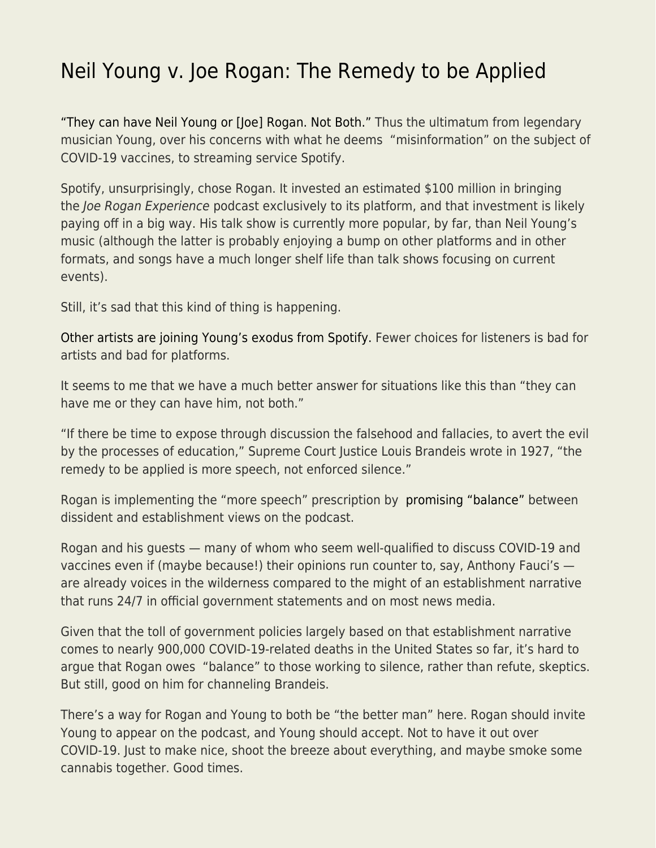## [Neil Young v. Joe Rogan: The Remedy to be Applied](https://everything-voluntary.com/neil-young-v-joe-rogan-the-remedy-to-be-applied)

["They can have Neil Young or \[Joe\] Rogan. Not Both."](https://nypost.com/2022/01/25/neil-young-gives-spotify-ultimatum-over-joe-rogan-disinformation/) Thus the ultimatum from legendary musician Young, over his concerns with what he deems "misinformation" on the subject of COVID-19 vaccines, to streaming service Spotify.

Spotify, unsurprisingly, chose Rogan. It invested an estimated \$100 million in bringing the Joe Rogan Experience podcast exclusively to its platform, and that investment is likely paying off in a big way. His talk show is currently more popular, by far, than Neil Young's music (although the latter is probably enjoying a bump on other platforms and in other formats, and songs have a much longer shelf life than talk shows focusing on current events).

Still, it's sad that this kind of thing is happening.

[Other artists are joining Young's exodus from Spotify.](https://www.newsweek.com/who-has-left-spotify-so-far-neil-young-artists-quit-joe-rogan-podcast-joni-mitchell-nils-lofgren-1674440) Fewer choices for listeners is bad for artists and bad for platforms.

It seems to me that we have a much better answer for situations like this than "they can have me or they can have him, not both."

"If there be time to expose through discussion the falsehood and fallacies, to avert the evil by the processes of education," Supreme Court Justice Louis Brandeis wrote in 1927, "the remedy to be applied is more speech, not enforced silence."

Rogan is implementing the "more speech" prescription by [promising "balance"](https://www.cbsnews.com/news/joe-rogan-spotify-response-podcasts-covid-19/) between dissident and establishment views on the podcast.

Rogan and his guests — many of whom who seem well-qualified to discuss COVID-19 and vaccines even if (maybe because!) their opinions run counter to, say, Anthony Fauci's are already voices in the wilderness compared to the might of an establishment narrative that runs 24/7 in official government statements and on most news media.

Given that the toll of government policies largely based on that establishment narrative comes to nearly 900,000 COVID-19-related deaths in the United States so far, it's hard to argue that Rogan owes "balance" to those working to silence, rather than refute, skeptics. But still, good on him for channeling Brandeis.

There's a way for Rogan and Young to both be "the better man" here. Rogan should invite Young to appear on the podcast, and Young should accept. Not to have it out over COVID-19. Just to make nice, shoot the breeze about everything, and maybe smoke some cannabis together. Good times.